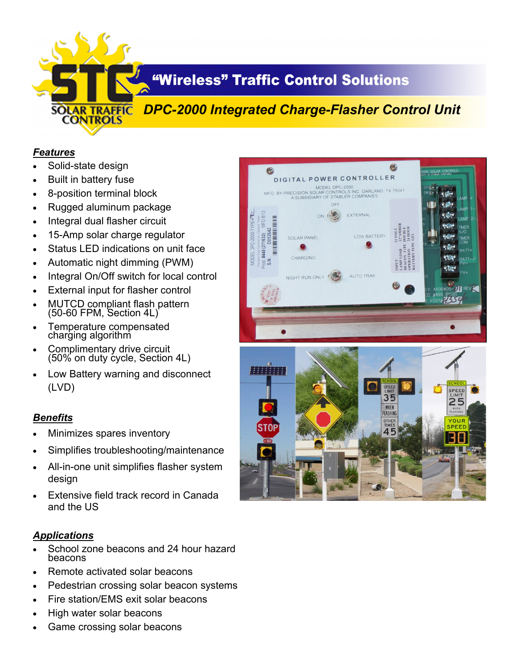

# **"Wireless" Traffic Control Solutions**

# *DPC-2000 Integrated Charge-Flasher Control Unit*

#### *Features*

- Solid-state design
- Built in battery fuse
- 8-position terminal block
- Rugged aluminum package
- Integral dual flasher circuit
- 15-Amp solar charge regulator
- Status LED indications on unit face
- Automatic night dimming (PWM)
- Integral On/Off switch for local control
- External input for flasher control
- MUTCD compliant flash pattern (50-60 FPM, Section 4L)
- Temperature compensated charging algorithm
- Complimentary drive circuit (50% on duty cycle, Section 4L)
- Low Battery warning and disconnect (LVD)

### *Benefits*

- Minimizes spares inventory
- Simplifies troubleshooting/maintenance
- All-in-one unit simplifies flasher system design
- Extensive field track record in Canada and the US

### *Applications*

- School zone beacons and 24 hour hazard beacons
- Remote activated solar beacons
- Pedestrian crossing solar beacon systems
- Fire station/EMS exit solar beacons
- High water solar beacons
- Game crossing solar beacons



OTHE

45

YOUR